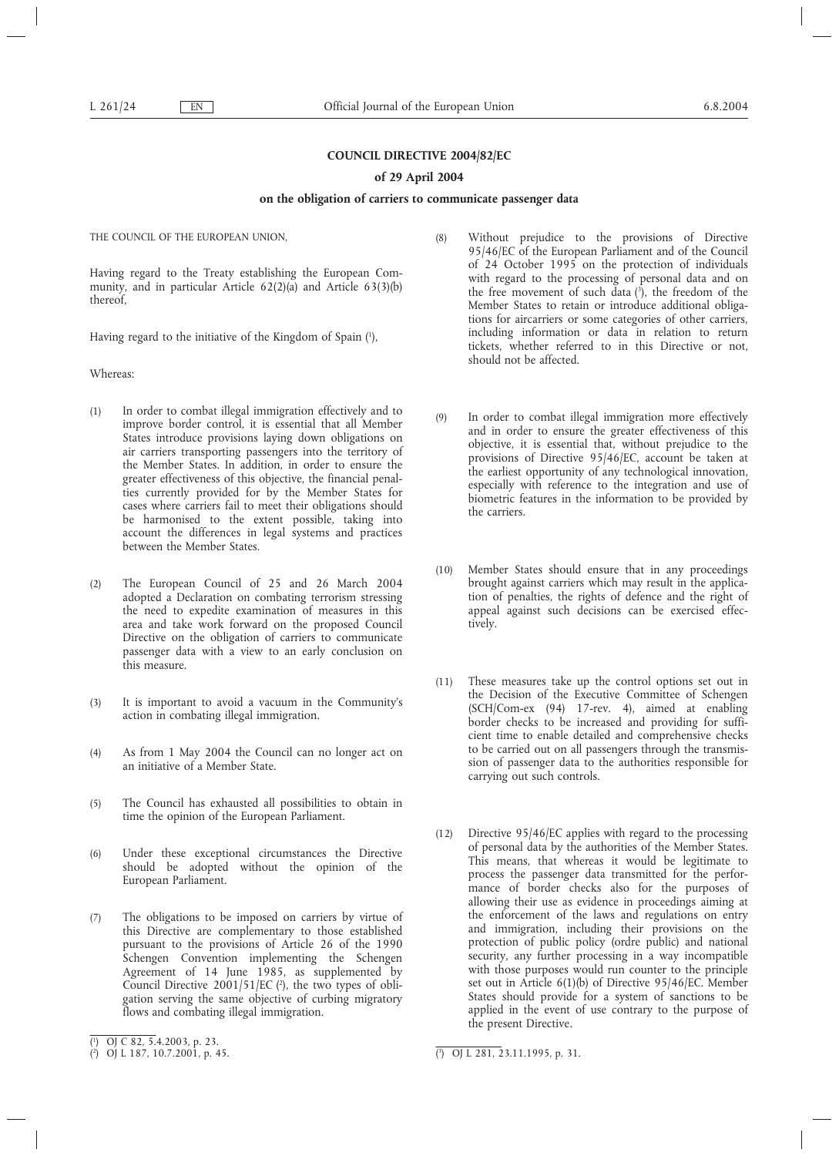# **COUNCIL DIRECTIVE 2004/82/EC**

## **of 29 April 2004**

## **on the obligation of carriers to communicate passenger data**

THE COUNCIL OF THE EUROPEAN UNION,

Having regard to the Treaty establishing the European Community, and in particular Article 62(2)(a) and Article 63(3)(b) thereof,

Having regard to the initiative of the Kingdom of Spain (1 ),

Whereas:

- (1) In order to combat illegal immigration effectively and to improve border control, it is essential that all Member States introduce provisions laying down obligations on air carriers transporting passengers into the territory of the Member States. In addition, in order to ensure the greater effectiveness of this objective, the financial penalties currently provided for by the Member States for cases where carriers fail to meet their obligations should be harmonised to the extent possible, taking into account the differences in legal systems and practices between the Member States.
- (2) The European Council of 25 and 26 March 2004 adopted a Declaration on combating terrorism stressing the need to expedite examination of measures in this area and take work forward on the proposed Council Directive on the obligation of carriers to communicate passenger data with a view to an early conclusion on this measure.
- (3) It is important to avoid a vacuum in the Community's action in combating illegal immigration.
- (4) As from 1 May 2004 the Council can no longer act on an initiative of a Member State.
- (5) The Council has exhausted all possibilities to obtain in time the opinion of the European Parliament.
- (6) Under these exceptional circumstances the Directive should be adopted without the opinion of the European Parliament.
- (7) The obligations to be imposed on carriers by virtue of this Directive are complementary to those established pursuant to the provisions of Article 26 of the 1990 Schengen Convention implementing the Schengen Agreement of 14 June 1985, as supplemented by Council Directive  $2001/51/EC$  ( $2$ ), the two types of obligation serving the same objective of curbing migratory flows and combating illegal immigration.
- (8) Without prejudice to the provisions of Directive 95/46/EC of the European Parliament and of the Council of 24 October 1995 on the protection of individuals with regard to the processing of personal data and on the free movement of such data  $(3)$ , the freedom of the Member States to retain or introduce additional obligations for aircarriers or some categories of other carriers, including information or data in relation to return tickets, whether referred to in this Directive or not, should not be affected.
- (9) In order to combat illegal immigration more effectively and in order to ensure the greater effectiveness of this objective, it is essential that, without prejudice to the provisions of Directive 95/46/EC, account be taken at the earliest opportunity of any technological innovation, especially with reference to the integration and use of biometric features in the information to be provided by the carriers.
- (10) Member States should ensure that in any proceedings brought against carriers which may result in the application of penalties, the rights of defence and the right of appeal against such decisions can be exercised effectively.
- (11) These measures take up the control options set out in the Decision of the Executive Committee of Schengen (SCH/Com-ex (94) 17-rev. 4), aimed at enabling border checks to be increased and providing for sufficient time to enable detailed and comprehensive checks to be carried out on all passengers through the transmission of passenger data to the authorities responsible for carrying out such controls.
- (12) Directive 95/46/EC applies with regard to the processing of personal data by the authorities of the Member States. This means, that whereas it would be legitimate to process the passenger data transmitted for the performance of border checks also for the purposes of allowing their use as evidence in proceedings aiming at the enforcement of the laws and regulations on entry and immigration, including their provisions on the protection of public policy (ordre public) and national security, any further processing in a way incompatible with those purposes would run counter to the principle set out in Article 6(1)(b) of Directive 95/46/EC. Member States should provide for a system of sanctions to be applied in the event of use contrary to the purpose of the present Directive.

<sup>(</sup> 1 ) OJ C 82, 5.4.2003, p. 23.

<sup>(</sup> 2 ) OJ L 187, 10.7.2001, p. 45. (

<sup>3</sup> ) OJ L 281, 23.11.1995, p. 31.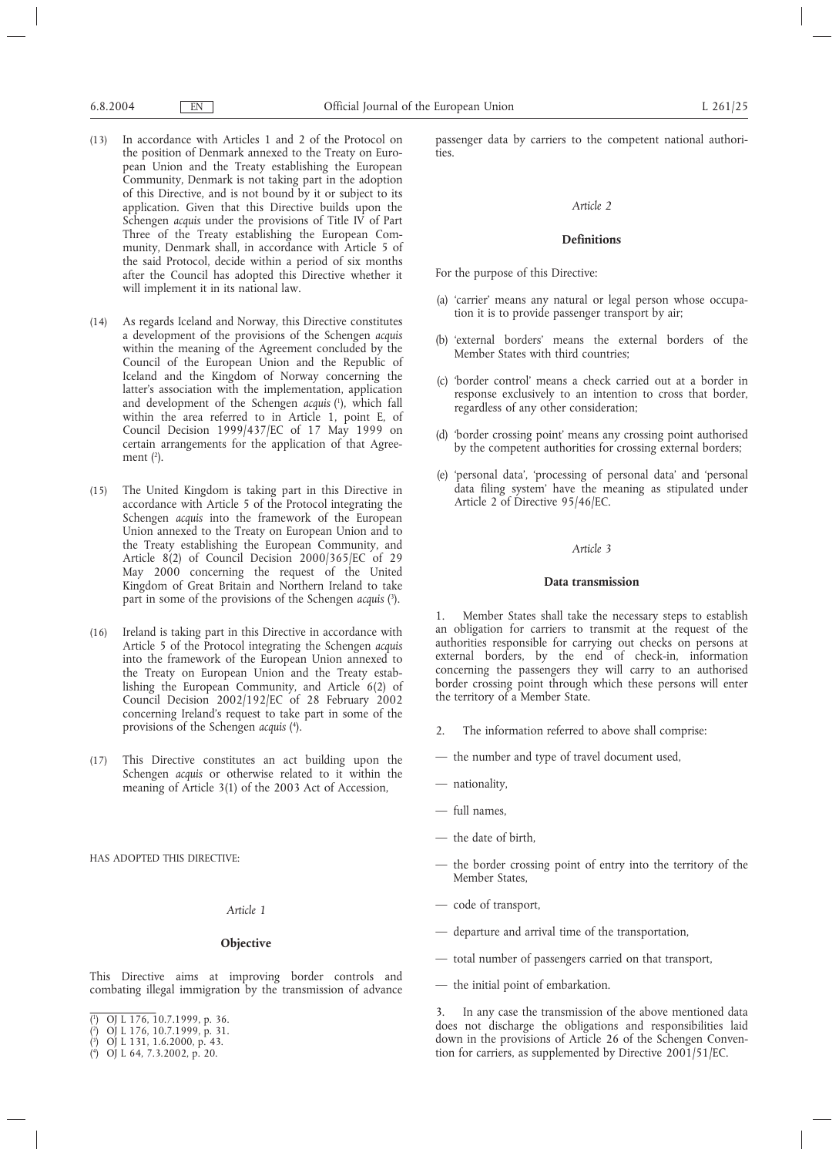- (13) In accordance with Articles 1 and 2 of the Protocol on the position of Denmark annexed to the Treaty on European Union and the Treaty establishing the European Community, Denmark is not taking part in the adoption of this Directive, and is not bound by it or subject to its application. Given that this Directive builds upon the Schengen *acquis* under the provisions of Title IV of Part Three of the Treaty establishing the European Community, Denmark shall, in accordance with Article 5 of the said Protocol, decide within a period of six months after the Council has adopted this Directive whether it will implement it in its national law.
- (14) As regards Iceland and Norway, this Directive constitutes a development of the provisions of the Schengen *acquis* within the meaning of the Agreement concluded by the Council of the European Union and the Republic of Iceland and the Kingdom of Norway concerning the latter's association with the implementation, application and development of the Schengen *acquis* ( 1 ), which fall within the area referred to in Article 1, point E, of Council Decision 1999/437/EC of 17 May 1999 on certain arrangements for the application of that Agreement  $(2)$ .
- (15) The United Kingdom is taking part in this Directive in accordance with Article 5 of the Protocol integrating the Schengen *acquis* into the framework of the European Union annexed to the Treaty on European Union and to the Treaty establishing the European Community, and Article 8(2) of Council Decision 2000/365/EC of 29 May 2000 concerning the request of the United Kingdom of Great Britain and Northern Ireland to take part in some of the provisions of the Schengen *acquis* ( 3 ).
- (16) Ireland is taking part in this Directive in accordance with Article 5 of the Protocol integrating the Schengen *acquis* into the framework of the European Union annexed to the Treaty on European Union and the Treaty establishing the European Community, and Article 6(2) of Council Decision 2002/192/EC of 28 February 2002 concerning Ireland's request to take part in some of the provisions of the Schengen *acquis* ( 4 ).
- (17) This Directive constitutes an act building upon the Schengen *acquis* or otherwise related to it within the meaning of Article 3(1) of the 2003 Act of Accession,

HAS ADOPTED THIS DIRECTIVE:

## *Article 1*

## **Objective**

This Directive aims at improving border controls and combating illegal immigration by the transmission of advance

( 3 ) OJ L 131, 1.6.2000, p. 43.

passenger data by carriers to the competent national authorities.

### *Article 2*

## **Definitions**

For the purpose of this Directive:

- (a) 'carrier' means any natural or legal person whose occupation it is to provide passenger transport by air;
- (b) 'external borders' means the external borders of the Member States with third countries;
- (c) 'border control' means a check carried out at a border in response exclusively to an intention to cross that border, regardless of any other consideration;
- (d) 'border crossing point' means any crossing point authorised by the competent authorities for crossing external borders;
- (e) 'personal data', 'processing of personal data' and 'personal data filing system' have the meaning as stipulated under Article 2 of Directive 95/46/EC.

### *Article 3*

### **Data transmission**

1. Member States shall take the necessary steps to establish an obligation for carriers to transmit at the request of the authorities responsible for carrying out checks on persons at external borders, by the end of check-in, information concerning the passengers they will carry to an authorised border crossing point through which these persons will enter the territory of a Member State.

- 2. The information referred to above shall comprise:
- the number and type of travel document used,
- nationality,
- full names,
- the date of birth,
- the border crossing point of entry into the territory of the Member States,
- code of transport,
- departure and arrival time of the transportation,
- total number of passengers carried on that transport,
- the initial point of embarkation.

3. In any case the transmission of the above mentioned data does not discharge the obligations and responsibilities laid down in the provisions of Article 26 of the Schengen Convention for carriers, as supplemented by Directive 2001/51/EC.

<sup>(</sup> 1 ) OJ L 176, 10.7.1999, p. 36.

<sup>(</sup> 2 ) OJ L 176, 10.7.1999, p. 31.

<sup>(</sup> 4 ) OJ L 64, 7.3.2002, p. 20.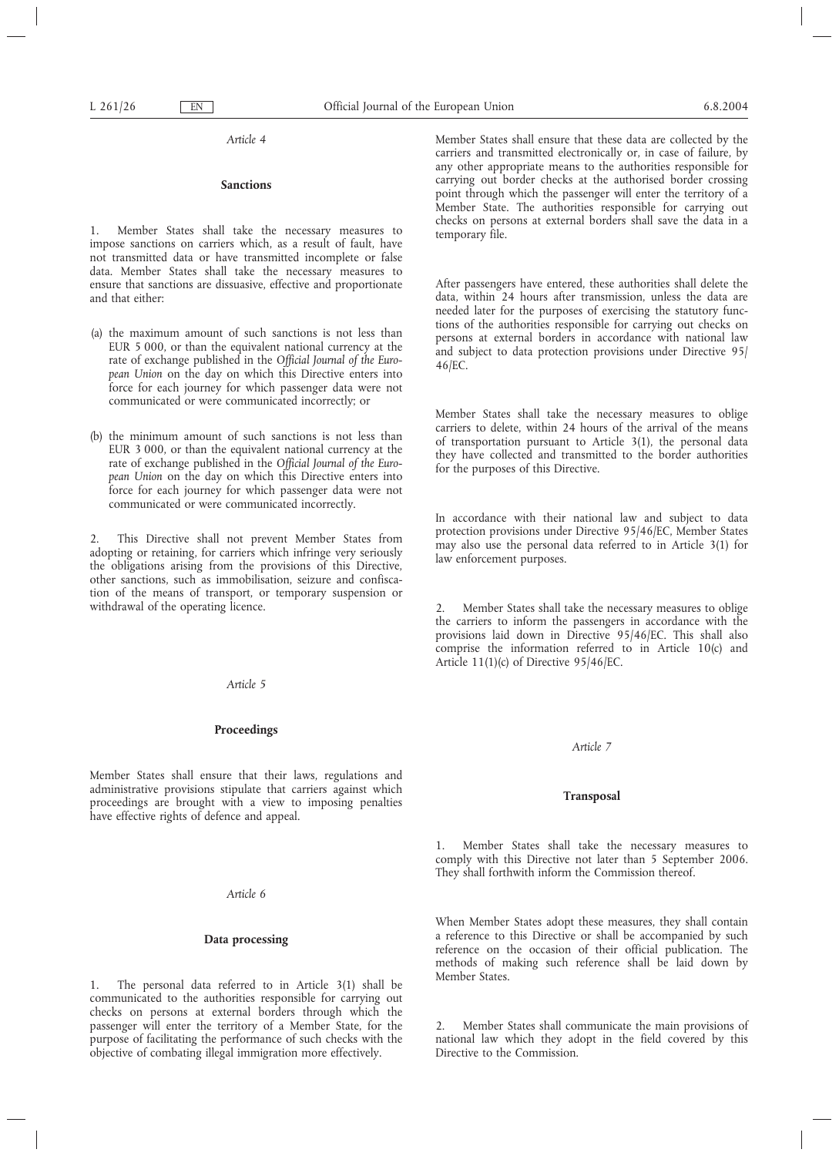*Article 4*

# **Sanctions**

1. Member States shall take the necessary measures to impose sanctions on carriers which, as a result of fault, have not transmitted data or have transmitted incomplete or false data. Member States shall take the necessary measures to ensure that sanctions are dissuasive, effective and proportionate and that either:

- (a) the maximum amount of such sanctions is not less than EUR 5 000, or than the equivalent national currency at the rate of exchange published in the *Official Journal of the European Union* on the day on which this Directive enters into force for each journey for which passenger data were not communicated or were communicated incorrectly; or
- (b) the minimum amount of such sanctions is not less than EUR 3 000, or than the equivalent national currency at the rate of exchange published in the *Official Journal of the European Union* on the day on which this Directive enters into force for each journey for which passenger data were not communicated or were communicated incorrectly.

2. This Directive shall not prevent Member States from adopting or retaining, for carriers which infringe very seriously the obligations arising from the provisions of this Directive, other sanctions, such as immobilisation, seizure and confiscation of the means of transport, or temporary suspension or withdrawal of the operating licence.

#### *Article 5*

## **Proceedings**

Member States shall ensure that their laws, regulations and administrative provisions stipulate that carriers against which proceedings are brought with a view to imposing penalties have effective rights of defence and appeal.

*Article 6*

### **Data processing**

1. The personal data referred to in Article 3(1) shall be communicated to the authorities responsible for carrying out checks on persons at external borders through which the passenger will enter the territory of a Member State, for the purpose of facilitating the performance of such checks with the objective of combating illegal immigration more effectively.

Member States shall ensure that these data are collected by the carriers and transmitted electronically or, in case of failure, by any other appropriate means to the authorities responsible for carrying out border checks at the authorised border crossing point through which the passenger will enter the territory of a Member State. The authorities responsible for carrying out checks on persons at external borders shall save the data in a temporary file.

After passengers have entered, these authorities shall delete the data, within 24 hours after transmission, unless the data are needed later for the purposes of exercising the statutory functions of the authorities responsible for carrying out checks on persons at external borders in accordance with national law and subject to data protection provisions under Directive 95/ 46/EC.

Member States shall take the necessary measures to oblige carriers to delete, within 24 hours of the arrival of the means of transportation pursuant to Article 3(1), the personal data they have collected and transmitted to the border authorities for the purposes of this Directive.

In accordance with their national law and subject to data protection provisions under Directive 95/46/EC, Member States may also use the personal data referred to in Article 3(1) for law enforcement purposes.

2. Member States shall take the necessary measures to oblige the carriers to inform the passengers in accordance with the provisions laid down in Directive 95/46/EC. This shall also comprise the information referred to in Article 10(c) and Article 11(1)(c) of Directive 95/46/EC.

#### *Article 7*

### **Transposal**

1. Member States shall take the necessary measures to comply with this Directive not later than 5 September 2006. They shall forthwith inform the Commission thereof.

When Member States adopt these measures, they shall contain a reference to this Directive or shall be accompanied by such reference on the occasion of their official publication. The methods of making such reference shall be laid down by Member States.

2. Member States shall communicate the main provisions of national law which they adopt in the field covered by this Directive to the Commission.